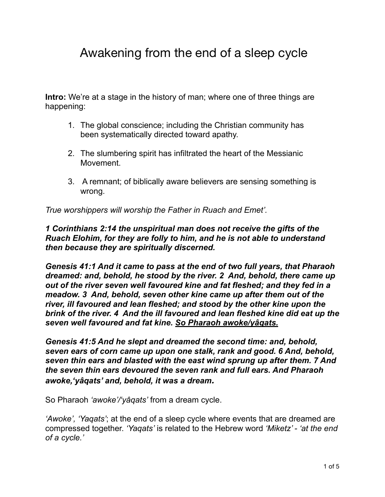## Awakening from the end of a sleep cycle

**Intro:** We're at a stage in the history of man; where one of three things are happening:

- 1. The global conscience; including the Christian community has been systematically directed toward apathy.
- 2. The slumbering spirit has infiltrated the heart of the Messianic Movement.
- 3. A remnant; of biblically aware believers are sensing something is wrong.

*True worshippers will worship the Father in Ruach and Emet'.*

*1 Corinthians 2:14 the unspiritual man does not receive the gifts of the Ruach Elohim, for they are folly to him, and he is not able to understand then because they are spiritually discerned.*

*Genesis 41:1 And it came to pass at the end of two full years, that Pharaoh dreamed: and, behold, he stood by the river. 2 And, behold, there came up out of the river seven well favoured kine and fat fleshed; and they fed in a meadow. 3 And, behold, seven other kine came up after them out of the river, ill favoured and lean fleshed; and stood by the other kine upon the brink of the river. 4 And the ill favoured and lean fleshed kine did eat up the seven well favoured and fat kine. So Pharaoh awoke/yâqats.* 

*Genesis 41:5 And he slept and dreamed the second time: and, behold, seven ears of corn came up upon one stalk, rank and good. 6 And, behold, seven thin ears and blasted with the east wind sprung up after them. 7 And the seven thin ears devoured the seven rank and full ears. And Pharaoh awoke,'yâqats' and, behold, it was a dream.*

So Pharaoh *'awoke'/'yâqats'* from a dream cycle.

*'Awoke', 'Yaqats'*; at the end of a sleep cycle where events that are dreamed are compressed together. *'Yaqats'* is related to the Hebrew word *'Miketz' - 'at the end of a cycle.'*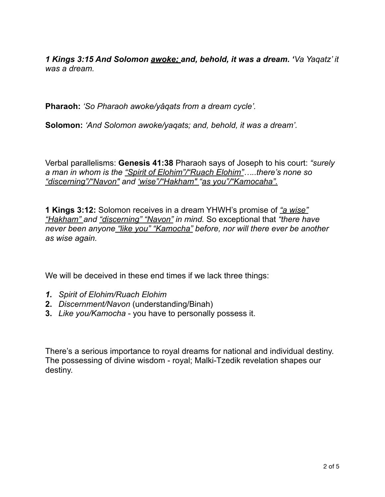*1 Kings 3:15 And Solomon awoke; and, behold, it was a dream. 'Va Yaqatz' it was a dream.* 

**Pharaoh:** *'So Pharaoh awoke/yâqats from a dream cycle'.* 

**Solomon:** *'And Solomon awoke/yaqats; and, behold, it was a dream'.*

Verbal parallelisms: **Genesis 41:38** Pharaoh says of Joseph to his court: *"surely a man in whom is the "Spirit of Elohim"/"Ruach Elohim"…..there's none so "discerning"/"Navon" and 'wise"/"Hakham" "as you"/"Kamocaha".* 

**1 Kings 3:12:** Solomon receives in a dream YHWH's promise of *"a wise" "Hakham" and "discerning" "Navon" in mind.* So exceptional that *"there have never been anyone "like you" "Kamocha" before, nor will there ever be another as wise again.* 

We will be deceived in these end times if we lack three things:

- *1. Spirit of Elohim/Ruach Elohim*
- **2.** *Discernment/Navon* (understanding/Binah)
- **3.** *Like you/Kamocha* you have to personally possess it.

There's a serious importance to royal dreams for national and individual destiny. The possessing of divine wisdom - royal; Malki-Tzedik revelation shapes our destiny.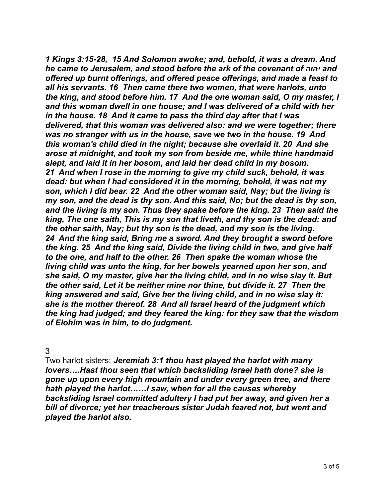*1 Kings 3:15-28, 15 And Solomon awoke; and, behold, it was a dream. And he came to Jerusalem, and stood before the ark of the covenant of יהוה and offered up burnt offerings, and offered peace offerings, and made a feast to all his servants. 16 Then came there two women, that were harlots, unto the king, and stood before him. 17 And the one woman said, O my master, I and this woman dwell in one house; and I was delivered of a child with her in the house. 18 And it came to pass the third day after that I was delivered, that this woman was delivered also: and we were together; there was no stranger with us in the house, save we two in the house. 19 And this woman's child died in the night; because she overlaid it. 20 And she arose at midnight, and took my son from beside me, while thine handmaid slept, and laid it in her bosom, and laid her dead child in my bosom. 21 And when I rose in the morning to give my child suck, behold, it was dead: but when I had considered it in the morning, behold, it was not my son, which I did bear. 22 And the other woman said, Nay; but the living is my son, and the dead is thy son. And this said, No; but the dead is thy son, and the living is my son. Thus they spake before the king. 23 Then said the king, The one saith, This is my son that liveth, and thy son is the dead: and the other saith, Nay; but thy son is the dead, and my son is the living. 24 And the king said, Bring me a sword. And they brought a sword before the king. 25 And the king said, Divide the living child in two, and give half to the one, and half to the other. 26 Then spake the woman whose the living child was unto the king, for her bowels yearned upon her son, and she said, O my master, give her the living child, and in no wise slay it. But the other said, Let it be neither mine nor thine, but divide it. 27 Then the king answered and said, Give her the living child, and in no wise slay it: she is the mother thereof. 28 And all Israel heard of the judgment which the king had judged; and they feared the king: for they saw that the wisdom of Elohim was in him, to do judgment.*

3

Two harlot sisters: *Jeremiah 3:1 thou hast played the harlot with many lovers….Hast thou seen that which backsliding Israel hath done? she is gone up upon every high mountain and under every green tree, and there hath played the harlot……I saw, when for all the causes whereby backsliding Israel committed adultery I had put her away, and given her a bill of divorce; yet her treacherous sister Judah feared not, but went and played the harlot also.*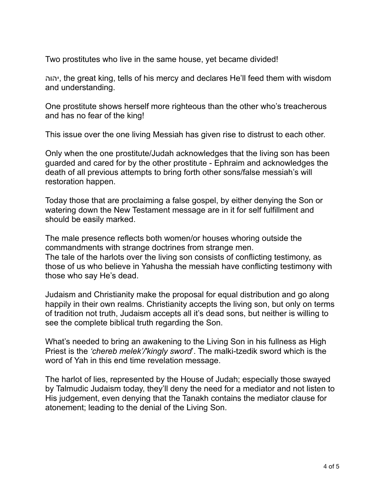Two prostitutes who live in the same house, yet became divided!

יהוה, the great king, tells of his mercy and declares He'll feed them with wisdom and understanding.

One prostitute shows herself more righteous than the other who's treacherous and has no fear of the king!

This issue over the one living Messiah has given rise to distrust to each other.

Only when the one prostitute/Judah acknowledges that the living son has been guarded and cared for by the other prostitute - Ephraim and acknowledges the death of all previous attempts to bring forth other sons/false messiah's will restoration happen.

Today those that are proclaiming a false gospel, by either denying the Son or watering down the New Testament message are in it for self fulfillment and should be easily marked.

The male presence reflects both women/or houses whoring outside the commandments with strange doctrines from strange men. The tale of the harlots over the living son consists of conflicting testimony, as those of us who believe in Yahusha the messiah have conflicting testimony with those who say He's dead.

Judaism and Christianity make the proposal for equal distribution and go along happily in their own realms. Christianity accepts the living son, but only on terms of tradition not truth, Judaism accepts all it's dead sons, but neither is willing to see the complete biblical truth regarding the Son.

What's needed to bring an awakening to the Living Son in his fullness as High Priest is the *'chereb melek'/'kingly sword*'. The malki-tzedik sword which is the word of Yah in this end time revelation message.

The harlot of lies, represented by the House of Judah; especially those swayed by Talmudic Judaism today, they'll deny the need for a mediator and not listen to His judgement, even denying that the Tanakh contains the mediator clause for atonement; leading to the denial of the Living Son.